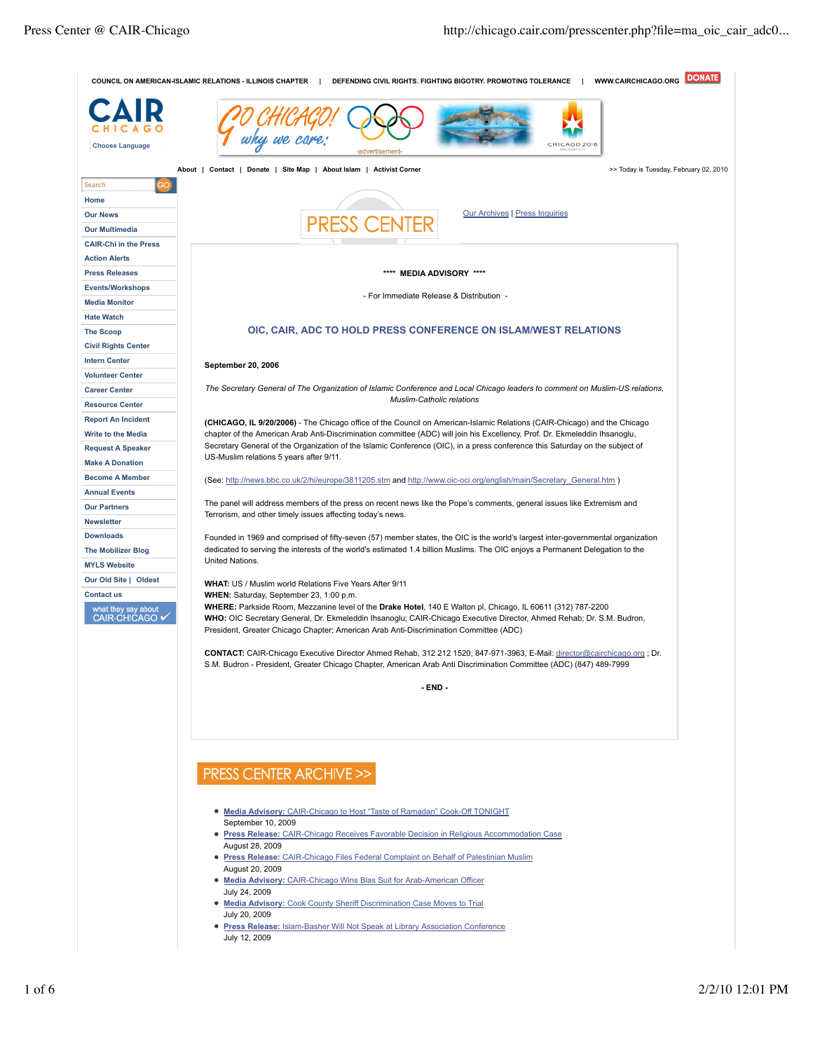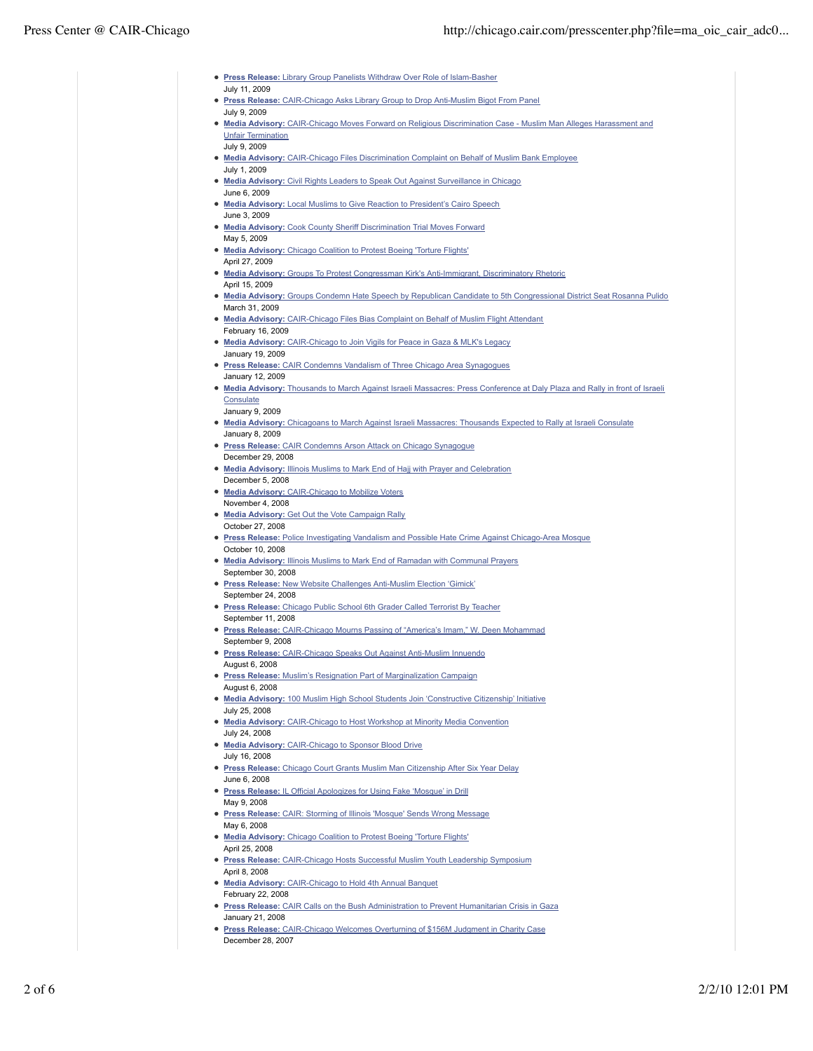| <b>• Press Release:</b> Library Group Panelists Withdraw Over Role of Islam-Basher                                                                         |
|------------------------------------------------------------------------------------------------------------------------------------------------------------|
| July 11, 2009                                                                                                                                              |
| • Press Release: CAIR-Chicago Asks Library Group to Drop Anti-Muslim Bigot From Panel<br>July 9, 2009                                                      |
| • Media Advisory: CAIR-Chicago Moves Forward on Religious Discrimination Case - Muslim Man Alleges Harassment and<br><b>Unfair Termination</b>             |
| July 9, 2009<br>• Media Advisory: CAIR-Chicago Files Discrimination Complaint on Behalf of Muslim Bank Employee                                            |
| July 1, 2009<br>• Media Advisory: Civil Rights Leaders to Speak Out Against Surveillance in Chicago                                                        |
| June 6, 2009<br>• Media Advisory: Local Muslims to Give Reaction to President's Cairo Speech                                                               |
| June 3, 2009<br>• Media Advisory: Cook County Sheriff Discrimination Trial Moves Forward                                                                   |
| May 5, 2009<br>. Media Advisory: Chicago Coalition to Protest Boeing 'Torture Flights'                                                                     |
| April 27, 2009<br>• Media Advisory: Groups To Protest Congressman Kirk's Anti-Immigrant, Discriminatory Rhetoric                                           |
| April 15, 2009<br>• Media Advisory: Groups Condemn Hate Speech by Republican Candidate to 5th Congressional District Seat Rosanna Pulido<br>March 31, 2009 |
| • Media Advisory: CAIR-Chicago Files Bias Complaint on Behalf of Muslim Flight Attendant<br>February 16, 2009                                              |
| • Media Advisory: CAIR-Chicago to Join Vigils for Peace in Gaza & MLK's Legacy<br>January 19, 2009                                                         |
| <b>• Press Release:</b> CAIR Condemns Vandalism of Three Chicago Area Synagogues<br>January 12, 2009                                                       |
| . Media Advisory: Thousands to March Against Israeli Massacres: Press Conference at Daly Plaza and Rally in front of Israeli<br>Consulate                  |
| January 9, 2009<br>• Media Advisory: Chicagoans to March Against Israeli Massacres: Thousands Expected to Rally at Israeli Consulate<br>January 8, 2009    |
| <b>• Press Release:</b> CAIR Condemns Arson Attack on Chicago Synagogue<br>December 29, 2008                                                               |
| • Media Advisory: Illinois Muslims to Mark End of Hajj with Prayer and Celebration<br>December 5, 2008                                                     |
| • Media Advisory: CAIR-Chicago to Mobilize Voters<br>November 4, 2008                                                                                      |
| • Media Advisory: Get Out the Vote Campaign Rally<br>October 27, 2008                                                                                      |
| <b>• Press Release:</b> Police Investigating Vandalism and Possible Hate Crime Against Chicago-Area Mosque<br>October 10, 2008                             |
| . Media Advisory: Illinois Muslims to Mark End of Ramadan with Communal Prayers<br>September 30, 2008                                                      |
| • Press Release: New Website Challenges Anti-Muslim Election 'Gimick'<br>September 24, 2008                                                                |
| <b>• Press Release:</b> Chicago Public School 6th Grader Called Terrorist By Teacher<br>September 11, 2008                                                 |
| <b>• Press Release:</b> CAIR-Chicago Mourns Passing of "America's Imam," W. Deen Mohammad<br>September 9, 2008                                             |
| <b>• Press Release:</b> CAIR-Chicago Speaks Out Against Anti-Muslim Innuendo<br>August 6, 2008                                                             |
| <b>• Press Release:</b> Muslim's Resignation Part of Marginalization Campaign<br>August 6, 2008                                                            |
| . Media Advisory: 100 Muslim High School Students Join 'Constructive Citizenship' Initiative<br>July 25, 2008                                              |
| <b>• Media Advisory:</b> CAIR-Chicago to Host Workshop at Minority Media Convention<br>July 24, 2008                                                       |
| • Media Advisory: CAIR-Chicago to Sponsor Blood Drive<br>July 16, 2008                                                                                     |
| <b>• Press Release:</b> Chicago Court Grants Muslim Man Citizenship After Six Year Delay<br>June 6, 2008                                                   |
| <b>• Press Release:</b> IL Official Apologizes for Using Fake 'Mosque' in Drill<br>May 9, 2008                                                             |
| <b>• Press Release:</b> CAIR: Storming of Illinois 'Mosque' Sends Wrong Message<br>May 6, 2008                                                             |
| . Media Advisory: Chicago Coalition to Protest Boeing 'Torture Flights'<br>April 25, 2008                                                                  |
| • Press Release: CAIR-Chicago Hosts Successful Muslim Youth Leadership Symposium<br>April 8, 2008                                                          |
| • Media Advisory: CAIR-Chicago to Hold 4th Annual Banquet<br>February 22, 2008                                                                             |
| <b>• Press Release:</b> CAIR Calls on the Bush Administration to Prevent Humanitarian Crisis in Gaza                                                       |

**Press Release:** CAIR-Chicago Welcomes Overturning of \$156M Judgment in Charity Case December 28, 2007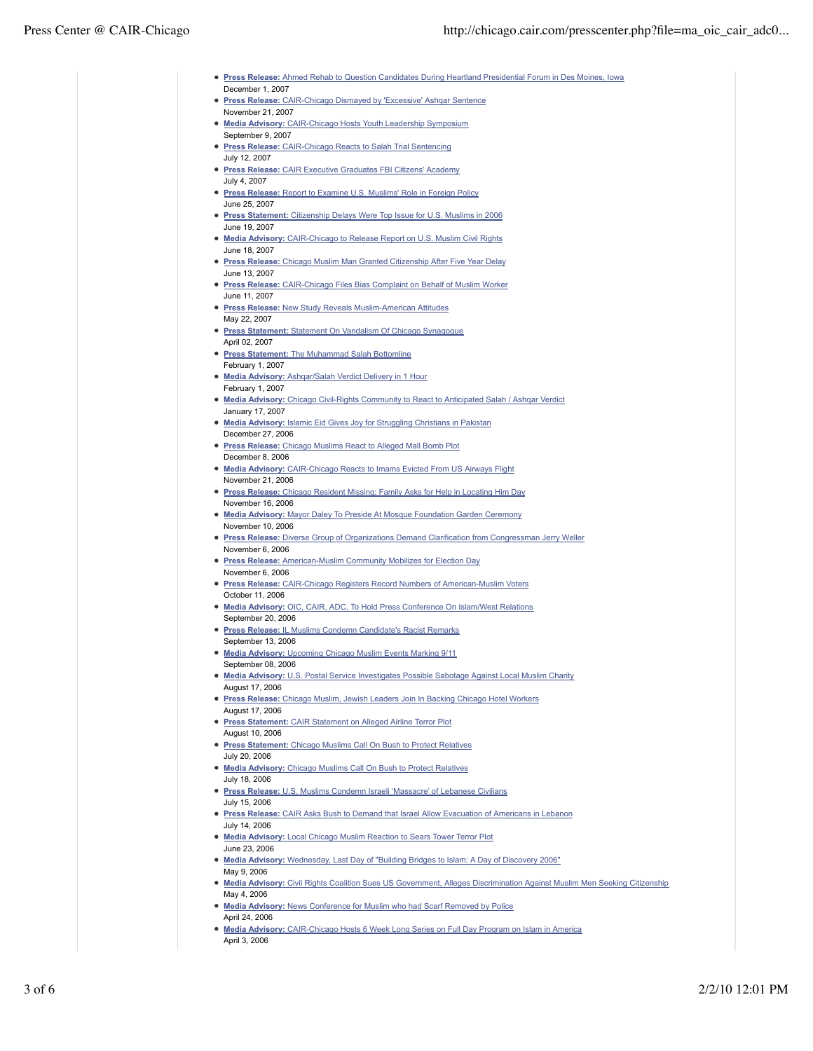| • Press Release: Ahmed Rehab to Question Candidates During Heartland Presidential Forum in Des Moines, Iowa                |
|----------------------------------------------------------------------------------------------------------------------------|
| December 1, 2007                                                                                                           |
| • Press Release: CAIR-Chicago Dismayed by 'Excessive' Ashgar Sentence                                                      |
| November 21, 2007                                                                                                          |
| • Media Advisory: CAIR-Chicago Hosts Youth Leadership Symposium<br>September 9, 2007                                       |
| <b>• Press Release:</b> CAIR-Chicago Reacts to Salah Trial Sentencing                                                      |
| July 12, 2007                                                                                                              |
| • Press Release: CAIR Executive Graduates FBI Citizens' Academy                                                            |
| July 4, 2007                                                                                                               |
| • Press Release: Report to Examine U.S. Muslims' Role in Foreign Policy                                                    |
| June 25, 2007<br>• Press Statement: Citizenship Delays Were Top Issue for U.S. Muslims in 2006                             |
| June 19, 2007                                                                                                              |
| • Media Advisory: CAIR-Chicago to Release Report on U.S. Muslim Civil Rights                                               |
| June 18, 2007                                                                                                              |
| • Press Release: Chicago Muslim Man Granted Citizenship After Five Year Delay                                              |
| June 13, 2007<br>• Press Release: CAIR-Chicago Files Bias Complaint on Behalf of Muslim Worker                             |
| June 11, 2007                                                                                                              |
| • Press Release: New Study Reveals Muslim-American Attitudes                                                               |
| May 22, 2007                                                                                                               |
| • Press Statement: Statement On Vandalism Of Chicago Synagogue                                                             |
| April 02, 2007                                                                                                             |
| • Press Statement: The Muhammad Salah Bottomline<br>February 1, 2007                                                       |
| • Media Advisory: Ashqar/Salah Verdict Delivery in 1 Hour                                                                  |
| February 1, 2007                                                                                                           |
| • Media Advisory: Chicago Civil-Rights Community to React to Anticipated Salah / Ashqar Verdict                            |
| January 17, 2007                                                                                                           |
| . Media Advisory: Islamic Eid Gives Joy for Struggling Christians in Pakistan<br>December 27, 2006                         |
| • Press Release: Chicago Muslims React to Alleged Mall Bomb Plot                                                           |
| December 8, 2006                                                                                                           |
| • Media Advisory: CAIR-Chicago Reacts to Imams Evicted From US Airways Flight                                              |
| November 21, 2006                                                                                                          |
| • Press Release: Chicago Resident Missing; Family Asks for Help in Locating Him Day<br>November 16, 2006                   |
| • Media Advisory: Mayor Daley To Preside At Mosque Foundation Garden Ceremony                                              |
| November 10, 2006                                                                                                          |
| <b>• Press Release:</b> Diverse Group of Organizations Demand Clarification from Congressman Jerry Weller                  |
| November 6, 2006                                                                                                           |
| • Press Release: American-Muslim Community Mobilizes for Election Day<br>November 6, 2006                                  |
| • Press Release: CAIR-Chicago Registers Record Numbers of American-Muslim Voters                                           |
| October 11, 2006                                                                                                           |
| • Media Advisory: OIC, CAIR, ADC, To Hold Press Conference On Islam/West Relations                                         |
| September 20, 2006                                                                                                         |
| <b>• Press Release: IL Muslims Condemn Candidate's Racist Remarks</b><br>September 13, 2006                                |
| • Media Advisory: Upcoming Chicago Muslim Events Marking 9/11                                                              |
| September 08, 2006                                                                                                         |
| • Media Advisory: U.S. Postal Service Investigates Possible Sabotage Against Local Muslim Charity                          |
| August 17, 2006                                                                                                            |
| <b>• Press Release:</b> Chicago Muslim, Jewish Leaders Join In Backing Chicago Hotel Workers<br>August 17, 2006            |
| • Press Statement: CAIR Statement on Alleged Airline Terror Plot                                                           |
| August 10, 2006                                                                                                            |
| • Press Statement: Chicago Muslims Call On Bush to Protect Relatives                                                       |
| July 20, 2006<br>• Media Advisory: Chicago Muslims Call On Bush to Protect Relatives                                       |
| July 18, 2006                                                                                                              |
| • Press Release: U.S. Muslims Condemn Israeli 'Massacre' of Lebanese Civilians                                             |
| July 15, 2006                                                                                                              |
| • Press Release: CAIR Asks Bush to Demand that Israel Allow Evacuation of Americans in Lebanon                             |
| July 14, 2006                                                                                                              |
| • Media Advisory: Local Chicago Muslim Reaction to Sears Tower Terror Plot<br>June 23, 2006                                |
| • Media Advisory: Wednesday, Last Day of "Building Bridges to Islam: A Day of Discovery 2006"                              |
| May 9, 2006                                                                                                                |
| • Media Advisory: Civil Rights Coalition Sues US Government, Alleges Discrimination Against Muslim Men Seeking Citizenship |
| May 4, 2006                                                                                                                |
| • Media Advisory: News Conference for Muslim who had Scarf Removed by Police<br>April 24, 2006                             |
| • Media Advisory: CAIR-Chicago Hosts 6 Week Long Series on Full Day Program on Islam in America                            |
| April 3, 2006                                                                                                              |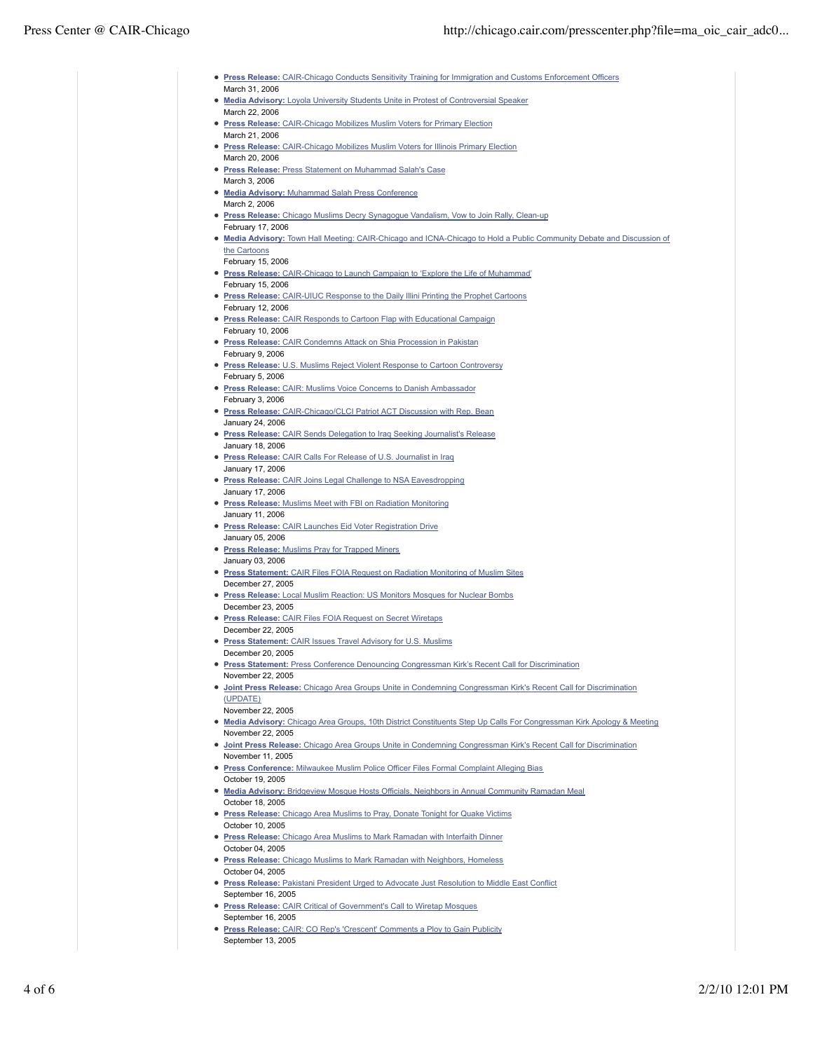| • Press Release: CAIR-Chicago Conducts Sensitivity Training for Immigration and Customs Enforcement Officers           |
|------------------------------------------------------------------------------------------------------------------------|
| March 31, 2006                                                                                                         |
| • Media Advisory: Loyola University Students Unite in Protest of Controversial Speaker                                 |
|                                                                                                                        |
| March 22, 2006                                                                                                         |
| • Press Release: CAIR-Chicago Mobilizes Muslim Voters for Primary Election                                             |
| March 21, 2006                                                                                                         |
| • Press Release: CAIR-Chicago Mobilizes Muslim Voters for Illinois Primary Election                                    |
| March 20, 2006                                                                                                         |
| • Press Release: Press Statement on Muhammad Salah's Case                                                              |
| March 3, 2006                                                                                                          |
| • Media Advisory: Muhammad Salah Press Conference                                                                      |
| March 2, 2006                                                                                                          |
| • Press Release: Chicago Muslims Decry Synagogue Vandalism, Vow to Join Rally, Clean-up                                |
| February 17, 2006                                                                                                      |
| • Media Advisory: Town Hall Meeting: CAIR-Chicago and ICNA-Chicago to Hold a Public Community Debate and Discussion of |
| the Cartoons                                                                                                           |
| February 15, 2006                                                                                                      |
| • Press Release: CAIR-Chicago to Launch Campaign to 'Explore the Life of Muhammad'                                     |
| February 15, 2006                                                                                                      |
| <b>• Press Release:</b> CAIR-UIUC Response to the Daily Illini Printing the Prophet Cartoons                           |
| February 12, 2006                                                                                                      |
| • Press Release: CAIR Responds to Cartoon Flap with Educational Campaign                                               |
| February 10, 2006                                                                                                      |
| <b>• Press Release:</b> CAIR Condemns Attack on Shia Procession in Pakistan                                            |
| February 9, 2006                                                                                                       |
| • Press Release: U.S. Muslims Reject Violent Response to Cartoon Controversy                                           |
| February 5, 2006                                                                                                       |
| • Press Release: CAIR: Muslims Voice Concerns to Danish Ambassador                                                     |
| February 3, 2006                                                                                                       |
| • Press Release: CAIR-Chicago/CLCI Patriot ACT Discussion with Rep. Bean                                               |
| January 24, 2006                                                                                                       |
| <b>• Press Release:</b> CAIR Sends Delegation to Iraq Seeking Journalist's Release                                     |
| January 18, 2006                                                                                                       |
| • Press Release: CAIR Calls For Release of U.S. Journalist in Iraq                                                     |
| January 17, 2006                                                                                                       |
| • Press Release: CAIR Joins Legal Challenge to NSA Eavesdropping                                                       |
| January 17, 2006                                                                                                       |
| • Press Release: Muslims Meet with FBI on Radiation Monitoring                                                         |
| January 11, 2006                                                                                                       |
| <b>• Press Release:</b> CAIR Launches Eid Voter Registration Drive                                                     |
| January 05, 2006                                                                                                       |
| • Press Release: Muslims Pray for Trapped Miners                                                                       |
| January 03, 2006                                                                                                       |
| • Press Statement: CAIR Files FOIA Request on Radiation Monitoring of Muslim Sites                                     |
| December 27, 2005                                                                                                      |
|                                                                                                                        |
| • Press Release: Local Muslim Reaction: US Monitors Mosques for Nuclear Bombs                                          |
| December 23, 2005                                                                                                      |
|                                                                                                                        |
| <b>• Press Release: CAIR Files FOIA Request on Secret Wiretaps</b><br>December 22, 2005                                |
| • Press Statement: CAIR Issues Travel Advisory for U.S. Muslims                                                        |
| December 20, 2005                                                                                                      |
| <b>• Press Statement: Press Conference Denouncing Congressman Kirk's Recent Call for Discrimination</b>                |
| November 22, 2005                                                                                                      |
| • Joint Press Release: Chicago Area Groups Unite in Condemning Congressman Kirk's Recent Call for Discrimination       |
| (UPDATE)                                                                                                               |
| November 22, 2005                                                                                                      |
| • Media Advisory: Chicago Area Groups, 10th District Constituents Step Up Calls For Congressman Kirk Apology & Meeting |
| November 22, 2005                                                                                                      |
| • Joint Press Release: Chicago Area Groups Unite in Condemning Congressman Kirk's Recent Call for Discrimination       |
| November 11, 2005                                                                                                      |
| • Press Conference: Milwaukee Muslim Police Officer Files Formal Complaint Alleging Bias                               |
| October 19, 2005                                                                                                       |
| • Media Advisory: Bridgeview Mosque Hosts Officials, Neighbors in Annual Community Ramadan Meal                        |
| October 18, 2005                                                                                                       |
| • Press Release: Chicago Area Muslims to Pray, Donate Tonight for Quake Victims                                        |
| October 10, 2005                                                                                                       |
| <b>• Press Release:</b> Chicago Area Muslims to Mark Ramadan with Interfaith Dinner                                    |
| October 04, 2005                                                                                                       |
| • Press Release: Chicago Muslims to Mark Ramadan with Neighbors, Homeless                                              |
| October 04, 2005                                                                                                       |
| • Press Release: Pakistani President Urged to Advocate Just Resolution to Middle East Conflict                         |
| September 16, 2005                                                                                                     |
| • Press Release: CAIR Critical of Government's Call to Wiretap Mosques                                                 |
| September 16, 2005                                                                                                     |
| • Press Release: CAIR: CO Rep's 'Crescent' Comments a Ploy to Gain Publicity                                           |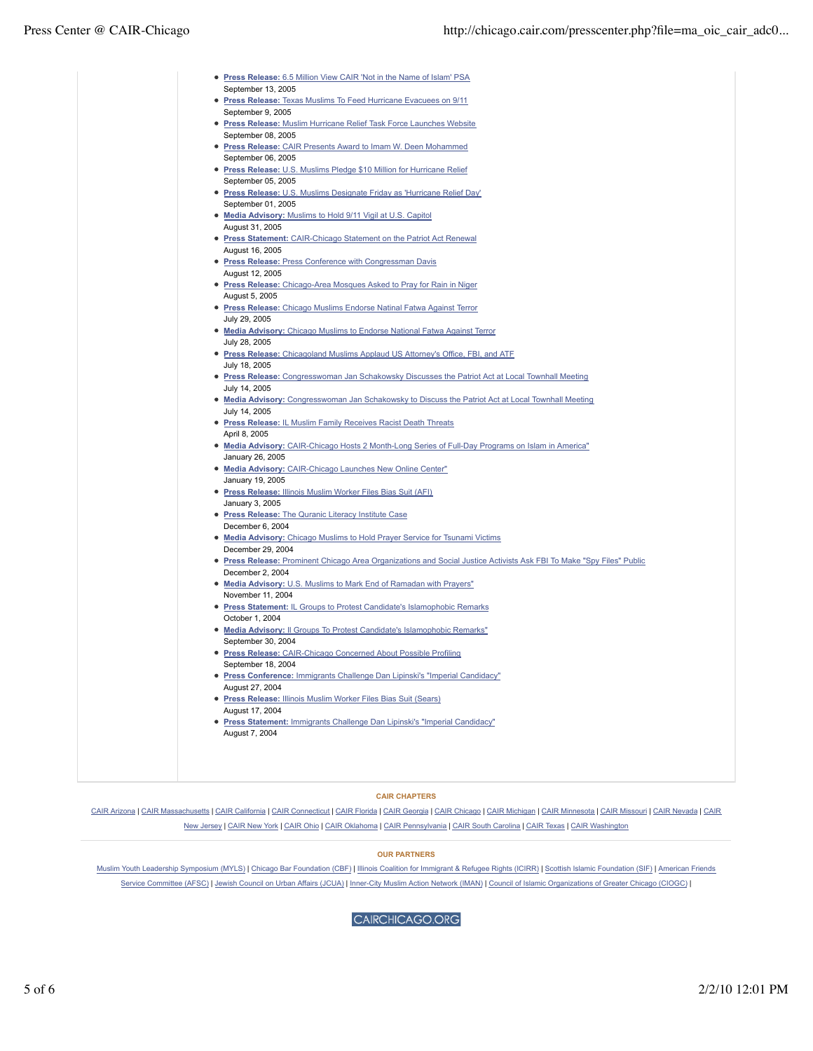| • Press Release: 6.5 Million View CAIR 'Not in the Name of Islam' PSA<br>September 13, 2005                           |
|-----------------------------------------------------------------------------------------------------------------------|
| • Press Release: Texas Muslims To Feed Hurricane Evacuees on 9/11                                                     |
| September 9, 2005                                                                                                     |
| <b>· Press Release: Muslim Hurricane Relief Task Force Launches Website</b>                                           |
| September 08, 2005                                                                                                    |
|                                                                                                                       |
| <b>• Press Release:</b> CAIR Presents Award to Imam W. Deen Mohammed                                                  |
| September 06, 2005                                                                                                    |
| • Press Release: U.S. Muslims Pledge \$10 Million for Hurricane Relief                                                |
| September 05, 2005                                                                                                    |
| <b>• Press Release:</b> U.S. Muslims Designate Friday as 'Hurricane Relief Day'                                       |
| September 01, 2005                                                                                                    |
| • Media Advisory: Muslims to Hold 9/11 Vigil at U.S. Capitol                                                          |
| August 31, 2005                                                                                                       |
| <b>• Press Statement: CAIR-Chicago Statement on the Patriot Act Renewal</b>                                           |
| August 16, 2005                                                                                                       |
| • Press Release: Press Conference with Congressman Davis                                                              |
| August 12, 2005                                                                                                       |
| • Press Release: Chicago-Area Mosques Asked to Pray for Rain in Niger                                                 |
| August 5, 2005                                                                                                        |
| • Press Release: Chicago Muslims Endorse Natinal Fatwa Against Terror                                                 |
| July 29, 2005                                                                                                         |
| . Media Advisory: Chicago Muslims to Endorse National Fatwa Against Terror                                            |
| July 28, 2005                                                                                                         |
| • Press Release: Chicagoland Muslims Applaud US Attorney's Office, FBI, and ATF                                       |
| July 18, 2005                                                                                                         |
| • Press Release: Congresswoman Jan Schakowsky Discusses the Patriot Act at Local Townhall Meeting                     |
| July 14, 2005                                                                                                         |
| . Media Advisory: Congresswoman Jan Schakowsky to Discuss the Patriot Act at Local Townhall Meeting                   |
| July 14, 2005                                                                                                         |
| • Press Release: IL Muslim Family Receives Racist Death Threats                                                       |
| April 8, 2005                                                                                                         |
| • Media Advisory: CAIR-Chicago Hosts 2 Month-Long Series of Full-Day Programs on Islam in America"                    |
| January 26, 2005                                                                                                      |
| • Media Advisory: CAIR-Chicago Launches New Online Center"                                                            |
| January 19, 2005                                                                                                      |
| • Press Release: Illinois Muslim Worker Files Bias Suit (AFI)                                                         |
|                                                                                                                       |
| January 3, 2005                                                                                                       |
| • Press Release: The Quranic Literacy Institute Case                                                                  |
| December 6, 2004                                                                                                      |
| • Media Advisory: Chicago Muslims to Hold Prayer Service for Tsunami Victims                                          |
| December 29, 2004                                                                                                     |
| • Press Release: Prominent Chicago Area Organizations and Social Justice Activists Ask FBI To Make "Spy Files" Public |
| December 2, 2004                                                                                                      |
| . Media Advisory: U.S. Muslims to Mark End of Ramadan with Prayers"                                                   |
| November 11, 2004                                                                                                     |
| • Press Statement: IL Groups to Protest Candidate's Islamophobic Remarks                                              |
| October 1, 2004                                                                                                       |
| • Media Advisory: Il Groups To Protest Candidate's Islamophobic Remarks"                                              |
| September 30, 2004                                                                                                    |
| • Press Release: CAIR-Chicago Concerned About Possible Profiling                                                      |
| September 18, 2004                                                                                                    |
| • Press Conference: Immigrants Challenge Dan Lipinski's "Imperial Candidacy"                                          |
| August 27, 2004                                                                                                       |
| • Press Release: Illinois Muslim Worker Files Bias Suit (Sears)                                                       |
| August 17, 2004                                                                                                       |
| • Press Statement: Immigrants Challenge Dan Lipinski's "Imperial Candidacy"                                           |
| August 7, 2004                                                                                                        |
|                                                                                                                       |
|                                                                                                                       |
|                                                                                                                       |
|                                                                                                                       |

## **CAIR CHAPTERS**

CAIR Arizona | CAIR Massachusetts | CAIR California | CAIR Connecticut | CAIR Florida | CAIR Georgia | CAIR Chicago | CAIR Michigan | CAIR Minnesota | CAIR Missouri | CAIR Nevada | CAIR New Jersey | CAIR New York | CAIR Ohio | CAIR Oklahoma | CAIR Pennsylvania | CAIR South Carolina | CAIR Texas | CAIR Washington

## **OUR PARTNERS**

Muslim Youth Leadership Symposium (MYLS) | Chicago Bar Foundation (CBF) | Illinois Coalition for Immigrant & Refugee Rights (ICIRR) | Scottish Islamic Foundation (SIF) | American Friends Service Committee (AFSC) | Jewish Council on Urban Affairs (JCUA) | Inner-City Muslim Action Network (IMAN) | Council of Islamic Organizations of Greater Chicago (CIOGC) |